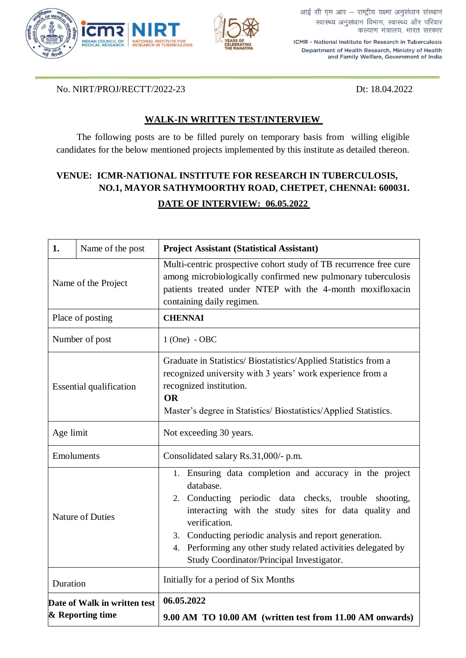



आई सी एम आर - राष्ट्रीय यक्ष्मा अनुसंधान संस्थान स्वास्थ्य अनुसंधान विभाग, स्वास्थ्य और परिवार कल्याण मंत्रालय, भारत सरकार

ICMR - National Institute for Research in Tuberculosis Department of Health Research, Ministry of Health and Family Welfare, Government of India

No. NIRT/PROJ/RECTT/2022-23 Dt: 18.04.2022

## **WALK-IN WRITTEN TEST/INTERVIEW**

The following posts are to be filled purely on temporary basis from willing eligible candidates for the below mentioned projects implemented by this institute as detailed thereon.

## **VENUE: ICMR-NATIONAL INSTITUTE FOR RESEARCH IN TUBERCULOSIS, NO.1, MAYOR SATHYMOORTHY ROAD, CHETPET, CHENNAI: 600031. DATE OF INTERVIEW: 06.05.2022**

| 1.                                               | Name of the post | <b>Project Assistant (Statistical Assistant)</b>                                                                                                                                                                                                                                                                                                                                   |
|--------------------------------------------------|------------------|------------------------------------------------------------------------------------------------------------------------------------------------------------------------------------------------------------------------------------------------------------------------------------------------------------------------------------------------------------------------------------|
| Name of the Project                              |                  | Multi-centric prospective cohort study of TB recurrence free cure<br>among microbiologically confirmed new pulmonary tuberculosis<br>patients treated under NTEP with the 4-month moxifloxacin<br>containing daily regimen.                                                                                                                                                        |
| Place of posting                                 |                  | <b>CHENNAI</b>                                                                                                                                                                                                                                                                                                                                                                     |
| Number of post                                   |                  | $1$ (One) - OBC                                                                                                                                                                                                                                                                                                                                                                    |
| <b>Essential qualification</b>                   |                  | Graduate in Statistics/Biostatistics/Applied Statistics from a<br>recognized university with 3 years' work experience from a<br>recognized institution.<br><b>OR</b><br>Master's degree in Statistics/Biostatistics/Applied Statistics.                                                                                                                                            |
| Age limit                                        |                  | Not exceeding 30 years.                                                                                                                                                                                                                                                                                                                                                            |
| Emoluments                                       |                  | Consolidated salary Rs.31,000/- p.m.                                                                                                                                                                                                                                                                                                                                               |
| <b>Nature of Duties</b>                          |                  | 1. Ensuring data completion and accuracy in the project<br>database.<br>2. Conducting periodic data checks, trouble<br>shooting,<br>interacting with the study sites for data quality and<br>verification.<br>3. Conducting periodic analysis and report generation.<br>4. Performing any other study related activities delegated by<br>Study Coordinator/Principal Investigator. |
| Duration                                         |                  | Initially for a period of Six Months                                                                                                                                                                                                                                                                                                                                               |
| Date of Walk in written test<br>& Reporting time |                  | 06.05.2022<br>9.00 AM TO 10.00 AM (written test from 11.00 AM onwards)                                                                                                                                                                                                                                                                                                             |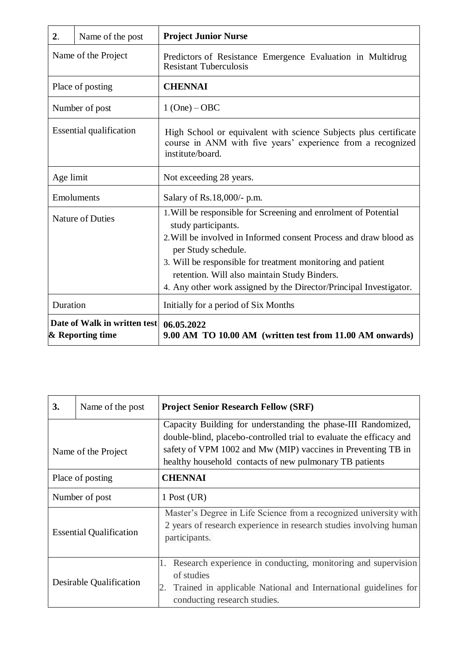| 2.                                                            | Name of the post | <b>Project Junior Nurse</b>                                                                                                                                                                                                                                                                                                                                             |
|---------------------------------------------------------------|------------------|-------------------------------------------------------------------------------------------------------------------------------------------------------------------------------------------------------------------------------------------------------------------------------------------------------------------------------------------------------------------------|
| Name of the Project                                           |                  | Predictors of Resistance Emergence Evaluation in Multidrug<br><b>Resistant Tuberculosis</b>                                                                                                                                                                                                                                                                             |
| Place of posting                                              |                  | <b>CHENNAI</b>                                                                                                                                                                                                                                                                                                                                                          |
| Number of post                                                |                  | $1 (One) - OBC$                                                                                                                                                                                                                                                                                                                                                         |
| <b>Essential qualification</b>                                |                  | High School or equivalent with science Subjects plus certificate<br>course in ANM with five years' experience from a recognized<br>institute/board.                                                                                                                                                                                                                     |
| Age limit                                                     |                  | Not exceeding 28 years.                                                                                                                                                                                                                                                                                                                                                 |
| Emoluments                                                    |                  | Salary of Rs.18,000/- p.m.                                                                                                                                                                                                                                                                                                                                              |
| <b>Nature of Duties</b>                                       |                  | 1. Will be responsible for Screening and enrolment of Potential<br>study participants.<br>2. Will be involved in Informed consent Process and draw blood as<br>per Study schedule.<br>3. Will be responsible for treatment monitoring and patient<br>retention. Will also maintain Study Binders.<br>4. Any other work assigned by the Director/Principal Investigator. |
| Duration                                                      |                  | Initially for a period of Six Months                                                                                                                                                                                                                                                                                                                                    |
| Date of Walk in written test   06.05.2022<br>& Reporting time |                  | 9.00 AM TO 10.00 AM (written test from 11.00 AM onwards)                                                                                                                                                                                                                                                                                                                |

| 3.                             | Name of the post | <b>Project Senior Research Fellow (SRF)</b>                                                                                                                                          |
|--------------------------------|------------------|--------------------------------------------------------------------------------------------------------------------------------------------------------------------------------------|
|                                |                  | Capacity Building for understanding the phase-III Randomized,<br>double-blind, placebo-controlled trial to evaluate the efficacy and                                                 |
| Name of the Project            |                  | safety of VPM 1002 and Mw (MIP) vaccines in Preventing TB in<br>healthy household contacts of new pulmonary TB patients                                                              |
| Place of posting               |                  | <b>CHENNAI</b>                                                                                                                                                                       |
| Number of post                 |                  | $1$ Post (UR)                                                                                                                                                                        |
| <b>Essential Qualification</b> |                  | Master's Degree in Life Science from a recognized university with<br>2 years of research experience in research studies involving human<br>participants.                             |
| Desirable Qualification        |                  | Research experience in conducting, monitoring and supervision<br>1.<br>of studies<br>Trained in applicable National and International guidelines for<br>conducting research studies. |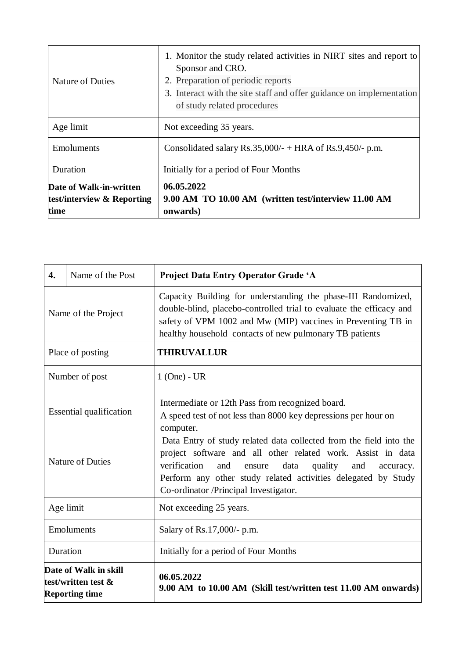| <b>Nature of Duties</b>                                       | 1. Monitor the study related activities in NIRT sites and report to<br>Sponsor and CRO.<br>2. Preparation of periodic reports<br>3. Interact with the site staff and offer guidance on implementation<br>of study related procedures |
|---------------------------------------------------------------|--------------------------------------------------------------------------------------------------------------------------------------------------------------------------------------------------------------------------------------|
| Age limit                                                     | Not exceeding 35 years.                                                                                                                                                                                                              |
| Emoluments                                                    | Consolidated salary $Rs.35,000/ - + HRA$ of $Rs.9,450/ - p.m.$                                                                                                                                                                       |
| Duration                                                      | Initially for a period of Four Months                                                                                                                                                                                                |
| Date of Walk-in-written<br>test/interview & Reporting<br>time | 06.05.2022<br>9.00 AM TO 10.00 AM (written test/interview 11.00 AM<br>onwards)                                                                                                                                                       |

| 4.                                                                    | Name of the Post | Project Data Entry Operator Grade 'A                                                                                                                                                                                                                                                                                |
|-----------------------------------------------------------------------|------------------|---------------------------------------------------------------------------------------------------------------------------------------------------------------------------------------------------------------------------------------------------------------------------------------------------------------------|
| Name of the Project                                                   |                  | Capacity Building for understanding the phase-III Randomized,<br>double-blind, placebo-controlled trial to evaluate the efficacy and<br>safety of VPM 1002 and Mw (MIP) vaccines in Preventing TB in<br>healthy household contacts of new pulmonary TB patients                                                     |
| Place of posting                                                      |                  | <b>THIRUVALLUR</b>                                                                                                                                                                                                                                                                                                  |
| Number of post                                                        |                  | $1$ (One) - UR                                                                                                                                                                                                                                                                                                      |
| <b>Essential qualification</b>                                        |                  | Intermediate or 12th Pass from recognized board.<br>A speed test of not less than 8000 key depressions per hour on<br>computer.                                                                                                                                                                                     |
| <b>Nature of Duties</b>                                               |                  | Data Entry of study related data collected from the field into the<br>project software and all other related work. Assist in data<br>verification<br>and<br>data<br>quality<br>and<br>ensure<br>accuracy.<br>Perform any other study related activities delegated by Study<br>Co-ordinator /Principal Investigator. |
| Age limit                                                             |                  | Not exceeding 25 years.                                                                                                                                                                                                                                                                                             |
| Emoluments                                                            |                  | Salary of Rs.17,000/- p.m.                                                                                                                                                                                                                                                                                          |
| Duration                                                              |                  | Initially for a period of Four Months                                                                                                                                                                                                                                                                               |
| Date of Walk in skill<br>test/written test &<br><b>Reporting time</b> |                  | 06.05.2022<br>9.00 AM to 10.00 AM (Skill test/written test 11.00 AM onwards)                                                                                                                                                                                                                                        |